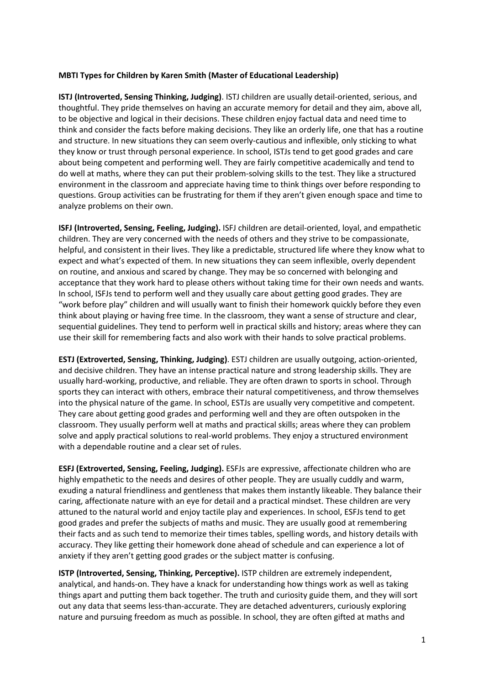## **MBTI Types for Children by Karen Smith (Master of Educational Leadership)**

**ISTJ (Introverted, Sensing Thinking, Judging)**. ISTJ children are usually detail-oriented, serious, and thoughtful. They pride themselves on having an accurate memory for detail and they aim, above all, to be objective and logical in their decisions. These children enjoy factual data and need time to think and consider the facts before making decisions. They like an orderly life, one that has a routine and structure. In new situations they can seem overly-cautious and inflexible, only sticking to what they know or trust through personal experience. In school, ISTJs tend to get good grades and care about being competent and performing well. They are fairly competitive academically and tend to do well at maths, where they can put their problem-solving skills to the test. They like a structured environment in the classroom and appreciate having time to think things over before responding to questions. Group activities can be frustrating for them if they aren't given enough space and time to analyze problems on their own.

**ISFJ (Introverted, Sensing, Feeling, Judging).** ISFJ children are detail-oriented, loyal, and empathetic children. They are very concerned with the needs of others and they strive to be compassionate, helpful, and consistent in their lives. They like a predictable, structured life where they know what to expect and what's expected of them. In new situations they can seem inflexible, overly dependent on routine, and anxious and scared by change. They may be so concerned with belonging and acceptance that they work hard to please others without taking time for their own needs and wants. In school, ISFJs tend to perform well and they usually care about getting good grades. They are "work before play" children and will usually want to finish their homework quickly before they even think about playing or having free time. In the classroom, they want a sense of structure and clear, sequential guidelines. They tend to perform well in practical skills and history; areas where they can use their skill for remembering facts and also work with their hands to solve practical problems.

**ESTJ (Extroverted, Sensing, Thinking, Judging)**. ESTJ children are usually outgoing, action-oriented, and decisive children. They have an intense practical nature and strong leadership skills. They are usually hard-working, productive, and reliable. They are often drawn to sports in school. Through sports they can interact with others, embrace their natural competitiveness, and throw themselves into the physical nature of the game. In school, ESTJs are usually very competitive and competent. They care about getting good grades and performing well and they are often outspoken in the classroom. They usually perform well at maths and practical skills; areas where they can problem solve and apply practical solutions to real-world problems. They enjoy a structured environment with a dependable routine and a clear set of rules.

**ESFJ (Extroverted, Sensing, Feeling, Judging).** ESFJs are expressive, affectionate children who are highly empathetic to the needs and desires of other people. They are usually cuddly and warm, exuding a natural friendliness and gentleness that makes them instantly likeable. They balance their caring, affectionate nature with an eye for detail and a practical mindset. These children are very attuned to the natural world and enjoy tactile play and experiences. In school, ESFJs tend to get good grades and prefer the subjects of maths and music. They are usually good at remembering their facts and as such tend to memorize their times tables, spelling words, and history details with accuracy. They like getting their homework done ahead of schedule and can experience a lot of anxiety if they aren't getting good grades or the subject matter is confusing.

**ISTP (Introverted, Sensing, Thinking, Perceptive).** ISTP children are extremely independent, analytical, and hands-on. They have a knack for understanding how things work as well as taking things apart and putting them back together. The truth and curiosity guide them, and they will sort out any data that seems less-than-accurate. They are detached adventurers, curiously exploring nature and pursuing freedom as much as possible. In school, they are often gifted at maths and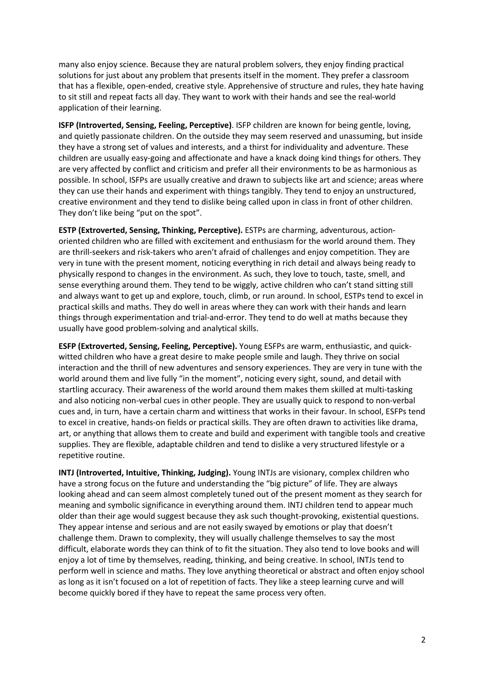many also enjoy science. Because they are natural problem solvers, they enjoy finding practical solutions for just about any problem that presents itself in the moment. They prefer a classroom that has a flexible, open-ended, creative style. Apprehensive of structure and rules, they hate having to sit still and repeat facts all day. They want to work with their hands and see the real-world application of their learning.

**ISFP (Introverted, Sensing, Feeling, Perceptive)**. ISFP children are known for being gentle, loving, and quietly passionate children. On the outside they may seem reserved and unassuming, but inside they have a strong set of values and interests, and a thirst for individuality and adventure. These children are usually easy-going and affectionate and have a knack doing kind things for others. They are very affected by conflict and criticism and prefer all their environments to be as harmonious as possible. In school, ISFPs are usually creative and drawn to subjects like art and science; areas where they can use their hands and experiment with things tangibly. They tend to enjoy an unstructured, creative environment and they tend to dislike being called upon in class in front of other children. They don't like being "put on the spot".

**ESTP (Extroverted, Sensing, Thinking, Perceptive).** ESTPs are charming, adventurous, actionoriented children who are filled with excitement and enthusiasm for the world around them. They are thrill-seekers and risk-takers who aren't afraid of challenges and enjoy competition. They are very in tune with the present moment, noticing everything in rich detail and always being ready to physically respond to changes in the environment. As such, they love to touch, taste, smell, and sense everything around them. They tend to be wiggly, active children who can't stand sitting still and always want to get up and explore, touch, climb, or run around. In school, ESTPs tend to excel in practical skills and maths. They do well in areas where they can work with their hands and learn things through experimentation and trial-and-error. They tend to do well at maths because they usually have good problem-solving and analytical skills.

**ESFP (Extroverted, Sensing, Feeling, Perceptive).** Young ESFPs are warm, enthusiastic, and quickwitted children who have a great desire to make people smile and laugh. They thrive on social interaction and the thrill of new adventures and sensory experiences. They are very in tune with the world around them and live fully "in the moment", noticing every sight, sound, and detail with startling accuracy. Their awareness of the world around them makes them skilled at multi-tasking and also noticing non-verbal cues in other people. They are usually quick to respond to non-verbal cues and, in turn, have a certain charm and wittiness that works in their favour. In school, ESFPs tend to excel in creative, hands-on fields or practical skills. They are often drawn to activities like drama, art, or anything that allows them to create and build and experiment with tangible tools and creative supplies. They are flexible, adaptable children and tend to dislike a very structured lifestyle or a repetitive routine.

**INTJ (Introverted, Intuitive, Thinking, Judging).** Young INTJs are visionary, complex children who have a strong focus on the future and understanding the "big picture" of life. They are always looking ahead and can seem almost completely tuned out of the present moment as they search for meaning and symbolic significance in everything around them. INTJ children tend to appear much older than their age would suggest because they ask such thought-provoking, existential questions. They appear intense and serious and are not easily swayed by emotions or play that doesn't challenge them. Drawn to complexity, they will usually challenge themselves to say the most difficult, elaborate words they can think of to fit the situation. They also tend to love books and will enjoy a lot of time by themselves, reading, thinking, and being creative. In school, INTJs tend to perform well in science and maths. They love anything theoretical or abstract and often enjoy school as long as it isn't focused on a lot of repetition of facts. They like a steep learning curve and will become quickly bored if they have to repeat the same process very often.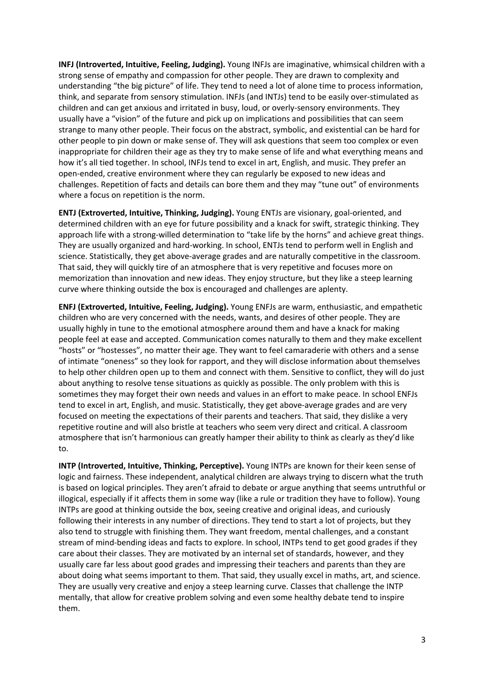**INFJ (Introverted, Intuitive, Feeling, Judging).** Young INFJs are imaginative, whimsical children with a strong sense of empathy and compassion for other people. They are drawn to complexity and understanding "the big picture" of life. They tend to need a lot of alone time to process information, think, and separate from sensory stimulation. INFJs (and INTJs) tend to be easily over-stimulated as children and can get anxious and irritated in busy, loud, or overly-sensory environments. They usually have a "vision" of the future and pick up on implications and possibilities that can seem strange to many other people. Their focus on the abstract, symbolic, and existential can be hard for other people to pin down or make sense of. They will ask questions that seem too complex or even inappropriate for children their age as they try to make sense of life and what everything means and how it's all tied together. In school, INFJs tend to excel in art, English, and music. They prefer an open-ended, creative environment where they can regularly be exposed to new ideas and challenges. Repetition of facts and details can bore them and they may "tune out" of environments where a focus on repetition is the norm.

**ENTJ (Extroverted, Intuitive, Thinking, Judging).** Young ENTJs are visionary, goal-oriented, and determined children with an eye for future possibility and a knack for swift, strategic thinking. They approach life with a strong-willed determination to "take life by the horns" and achieve great things. They are usually organized and hard-working. In school, ENTJs tend to perform well in English and science. Statistically, they get above-average grades and are naturally competitive in the classroom. That said, they will quickly tire of an atmosphere that is very repetitive and focuses more on memorization than innovation and new ideas. They enjoy structure, but they like a steep learning curve where thinking outside the box is encouraged and challenges are aplenty.

**ENFJ (Extroverted, Intuitive, Feeling, Judging).** Young ENFJs are warm, enthusiastic, and empathetic children who are very concerned with the needs, wants, and desires of other people. They are usually highly in tune to the emotional atmosphere around them and have a knack for making people feel at ease and accepted. Communication comes naturally to them and they make excellent "hosts" or "hostesses", no matter their age. They want to feel camaraderie with others and a sense of intimate "oneness" so they look for rapport, and they will disclose information about themselves to help other children open up to them and connect with them. Sensitive to conflict, they will do just about anything to resolve tense situations as quickly as possible. The only problem with this is sometimes they may forget their own needs and values in an effort to make peace. In school ENFJs tend to excel in art, English, and music. Statistically, they get above-average grades and are very focused on meeting the expectations of their parents and teachers. That said, they dislike a very repetitive routine and will also bristle at teachers who seem very direct and critical. A classroom atmosphere that isn't harmonious can greatly hamper their ability to think as clearly as they'd like to.

**INTP (Introverted, Intuitive, Thinking, Perceptive).** Young INTPs are known for their keen sense of logic and fairness. These independent, analytical children are always trying to discern what the truth is based on logical principles. They aren't afraid to debate or argue anything that seems untruthful or illogical, especially if it affects them in some way (like a rule or tradition they have to follow). Young INTPs are good at thinking outside the box, seeing creative and original ideas, and curiously following their interests in any number of directions. They tend to start a lot of projects, but they also tend to struggle with finishing them. They want freedom, mental challenges, and a constant stream of mind-bending ideas and facts to explore. In school, INTPs tend to get good grades if they care about their classes. They are motivated by an internal set of standards, however, and they usually care far less about good grades and impressing their teachers and parents than they are about doing what seems important to them. That said, they usually excel in maths, art, and science. They are usually very creative and enjoy a steep learning curve. Classes that challenge the INTP mentally, that allow for creative problem solving and even some healthy debate tend to inspire them.